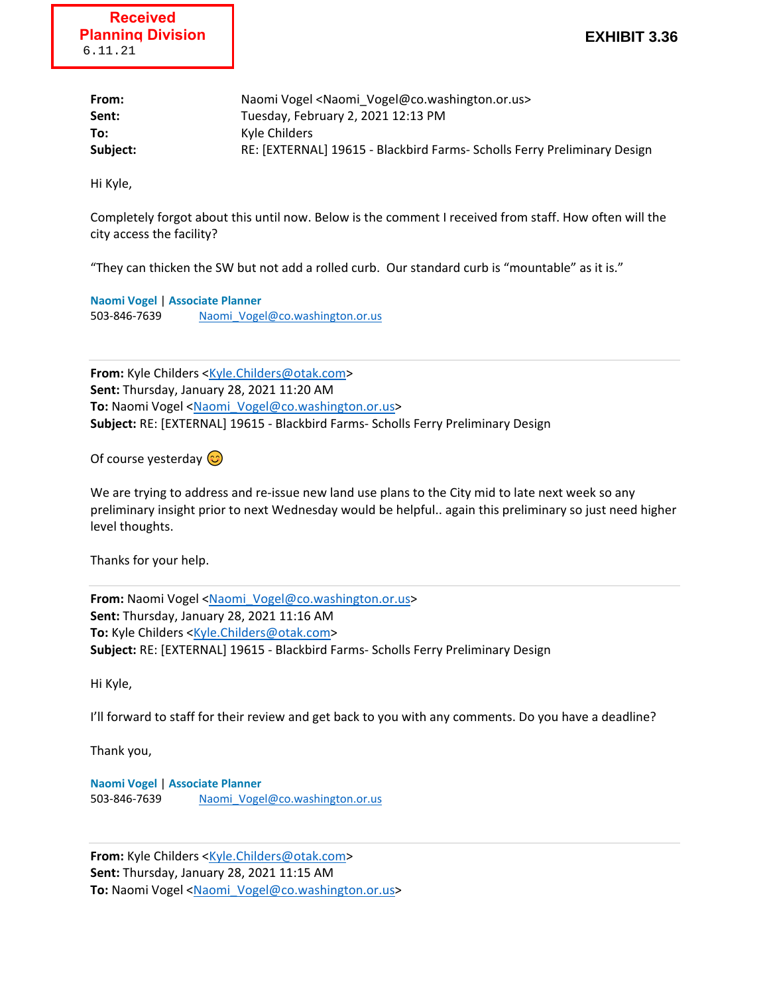| From:    | Naomi Vogel <naomi_vogel@co.washington.or.us></naomi_vogel@co.washington.or.us> |
|----------|---------------------------------------------------------------------------------|
| Sent:    | Tuesday, February 2, 2021 12:13 PM                                              |
| To:      | Kyle Childers                                                                   |
| Subject: | RE: [EXTERNAL] 19615 - Blackbird Farms- Scholls Ferry Preliminary Design        |

Hi Kyle,

Completely forgot about this until now. Below is the comment I received from staff. How often will the city access the facility?

"They can thicken the SW but not add a rolled curb. Our standard curb is "mountable" as it is."

**Naomi Vogel** | **Associate Planner** 503-846-7639 Naomi Vogel@co.washington.or.us

**From:** Kyle Childers <Kyle.Childers@otak.com> **Sent:** Thursday, January 28, 2021 11:20 AM To: Naomi Vogel <Naomi\_Vogel@co.washington.or.us> **Subject:** RE: [EXTERNAL] 19615 - Blackbird Farms- Scholls Ferry Preliminary Design

Of course yesterday  $\odot$ 

We are trying to address and re-issue new land use plans to the City mid to late next week so any preliminary insight prior to next Wednesday would be helpful.. again this preliminary so just need higher level thoughts.

Thanks for your help.

From: Naomi Vogel <Naomi Vogel@co.washington.or.us> **Sent:** Thursday, January 28, 2021 11:16 AM **To:** Kyle Childers <Kyle.Childers@otak.com> **Subject:** RE: [EXTERNAL] 19615 - Blackbird Farms- Scholls Ferry Preliminary Design

Hi Kyle,

I'll forward to staff for their review and get back to you with any comments. Do you have a deadline?

Thank you,

**Naomi Vogel** | **Associate Planner** 503-846-7639 Naomi Vogel@co.washington.or.us

**From:** Kyle Childers <Kyle.Childers@otak.com> **Sent:** Thursday, January 28, 2021 11:15 AM To: Naomi Vogel <Naomi\_Vogel@co.washington.or.us>